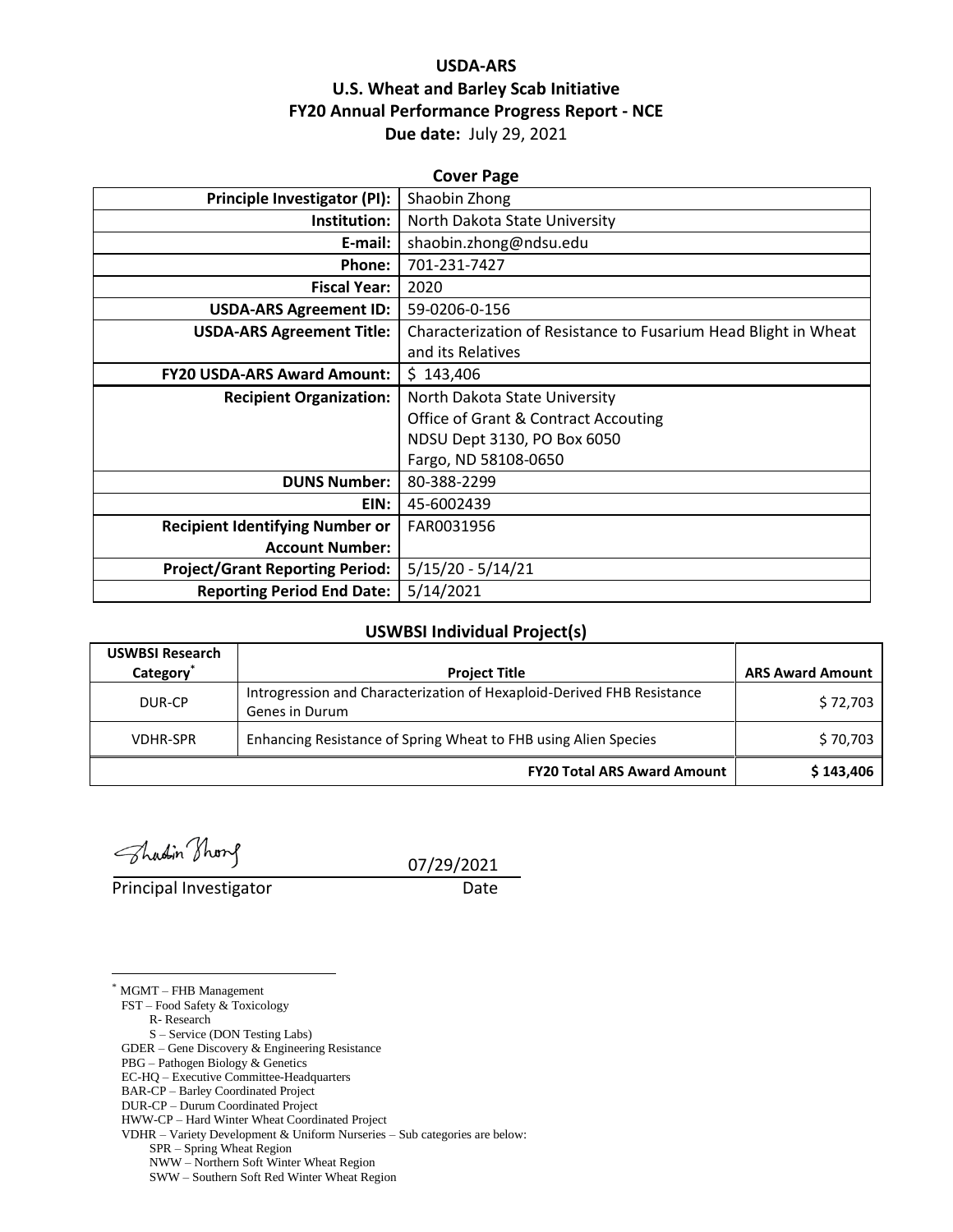## **USDA-ARS U.S. Wheat and Barley Scab Initiative FY20 Annual Performance Progress Report - NCE Due date:** July 29, 2021

| <b>Cover Page</b>                      |                                                                 |  |  |  |
|----------------------------------------|-----------------------------------------------------------------|--|--|--|
| Principle Investigator (PI):           | Shaobin Zhong                                                   |  |  |  |
| Institution:                           | North Dakota State University                                   |  |  |  |
| E-mail:                                | shaobin.zhong@ndsu.edu                                          |  |  |  |
| Phone:                                 | 701-231-7427                                                    |  |  |  |
| <b>Fiscal Year:</b>                    | 2020                                                            |  |  |  |
| <b>USDA-ARS Agreement ID:</b>          | 59-0206-0-156                                                   |  |  |  |
| <b>USDA-ARS Agreement Title:</b>       | Characterization of Resistance to Fusarium Head Blight in Wheat |  |  |  |
|                                        | and its Relatives                                               |  |  |  |
| <b>FY20 USDA-ARS Award Amount:</b>     | \$143,406                                                       |  |  |  |
| <b>Recipient Organization:</b>         | North Dakota State University                                   |  |  |  |
|                                        | <b>Office of Grant &amp; Contract Accouting</b>                 |  |  |  |
|                                        | NDSU Dept 3130, PO Box 6050                                     |  |  |  |
|                                        | Fargo, ND 58108-0650                                            |  |  |  |
| <b>DUNS Number:</b>                    | 80-388-2299                                                     |  |  |  |
| EIN:                                   | 45-6002439                                                      |  |  |  |
| <b>Recipient Identifying Number or</b> | FAR0031956                                                      |  |  |  |
| <b>Account Number:</b>                 |                                                                 |  |  |  |
| <b>Project/Grant Reporting Period:</b> | $5/15/20 - 5/14/21$                                             |  |  |  |
| <b>Reporting Period End Date:</b>      | 5/14/2021                                                       |  |  |  |

#### **USWBSI Individual Project(s)**

| <b>USWBSI Research</b> |                                                                                          |                         |
|------------------------|------------------------------------------------------------------------------------------|-------------------------|
| Category <sup>*</sup>  | <b>Project Title</b>                                                                     | <b>ARS Award Amount</b> |
| DUR-CP                 | Introgression and Characterization of Hexaploid-Derived FHB Resistance<br>Genes in Durum | \$72,703                |
| <b>VDHR-SPR</b>        | Enhancing Resistance of Spring Wheat to FHB using Alien Species                          | \$70,703                |
|                        | <b>FY20 Total ARS Award Amount</b>                                                       | \$143,406               |

Shadin Thong

Principal Investigator Date

07/29/2021

\* MGMT – FHB Management

 $\overline{a}$ 

FST – Food Safety & Toxicology

R- Research

S – Service (DON Testing Labs) GDER – Gene Discovery & Engineering Resistance

PBG – Pathogen Biology & Genetics

EC-HQ – Executive Committee-Headquarters

BAR-CP – Barley Coordinated Project

DUR-CP – Durum Coordinated Project

HWW-CP – Hard Winter Wheat Coordinated Project

VDHR – Variety Development & Uniform Nurseries – Sub categories are below:

SPR – Spring Wheat Region

NWW – Northern Soft Winter Wheat Region

SWW – Southern Soft Red Winter Wheat Region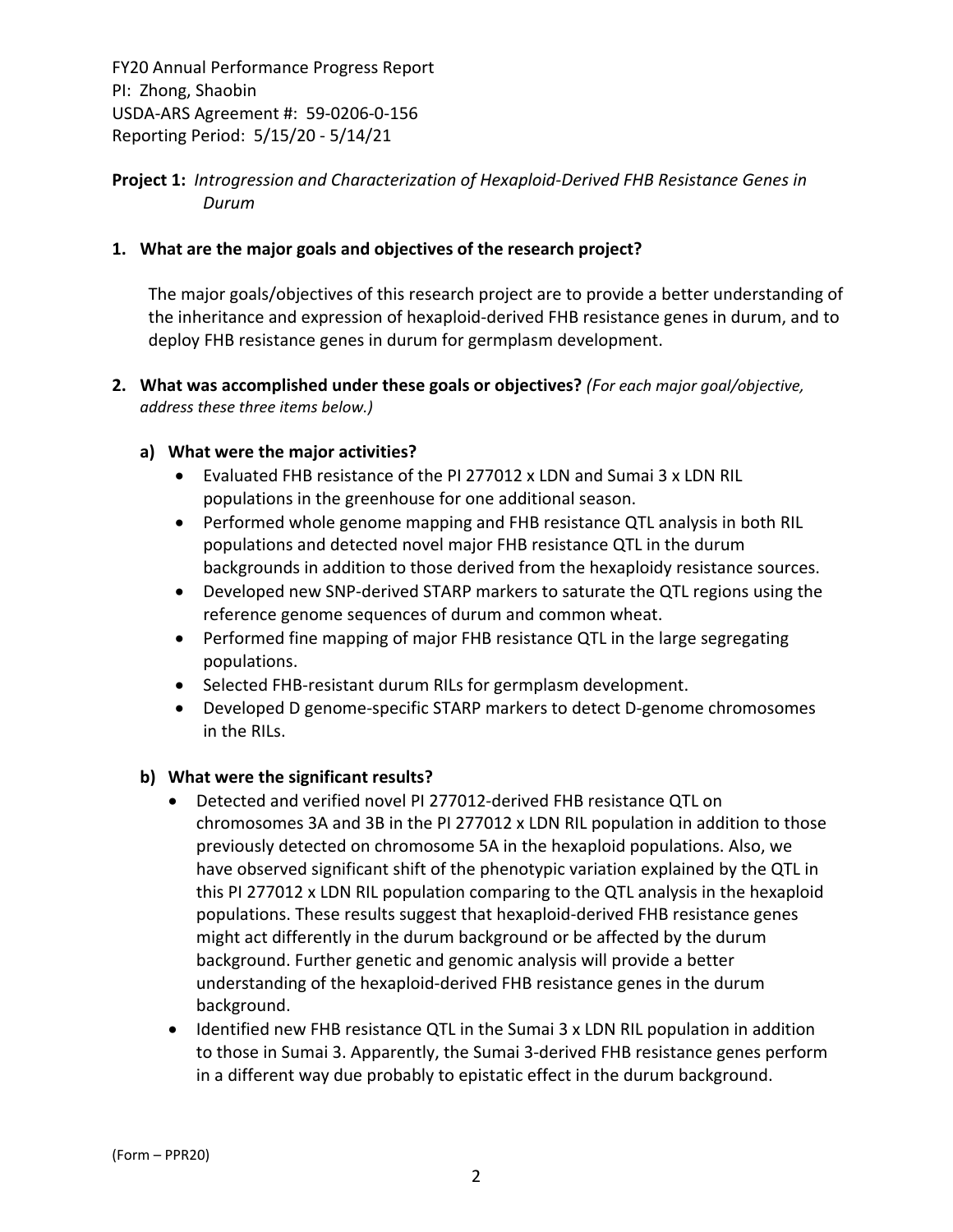**Project 1:** *Introgression and Characterization of Hexaploid‐Derived FHB Resistance Genes in Durum*

## **1. What are the major goals and objectives of the research project?**

The major goals/objectives of this research project are to provide a better understanding of the inheritance and expression of hexaploid‐derived FHB resistance genes in durum, and to deploy FHB resistance genes in durum for germplasm development.

**2. What was accomplished under these goals or objectives?** *(For each major goal/objective, address these three items below.)*

#### **a) What were the major activities?**

- Evaluated FHB resistance of the PI 277012 x LDN and Sumai 3 x LDN RIL populations in the greenhouse for one additional season.
- Performed whole genome mapping and FHB resistance QTL analysis in both RIL populations and detected novel major FHB resistance QTL in the durum backgrounds in addition to those derived from the hexaploidy resistance sources.
- Developed new SNP-derived STARP markers to saturate the QTL regions using the reference genome sequences of durum and common wheat.
- Performed fine mapping of major FHB resistance QTL in the large segregating populations.
- Selected FHB-resistant durum RILs for germplasm development.
- Developed D genome-specific STARP markers to detect D-genome chromosomes in the RILs.

#### **b) What were the significant results?**

- Detected and verified novel PI 277012‐derived FHB resistance QTL on chromosomes 3A and 3B in the PI 277012 x LDN RIL population in addition to those previously detected on chromosome 5A in the hexaploid populations. Also, we have observed significant shift of the phenotypic variation explained by the QTL in this PI 277012 x LDN RIL population comparing to the QTL analysis in the hexaploid populations. These results suggest that hexaploid‐derived FHB resistance genes might act differently in the durum background or be affected by the durum background. Further genetic and genomic analysis will provide a better understanding of the hexaploid‐derived FHB resistance genes in the durum background.
- Identified new FHB resistance QTL in the Sumai 3 x LDN RIL population in addition to those in Sumai 3. Apparently, the Sumai 3‐derived FHB resistance genes perform in a different way due probably to epistatic effect in the durum background.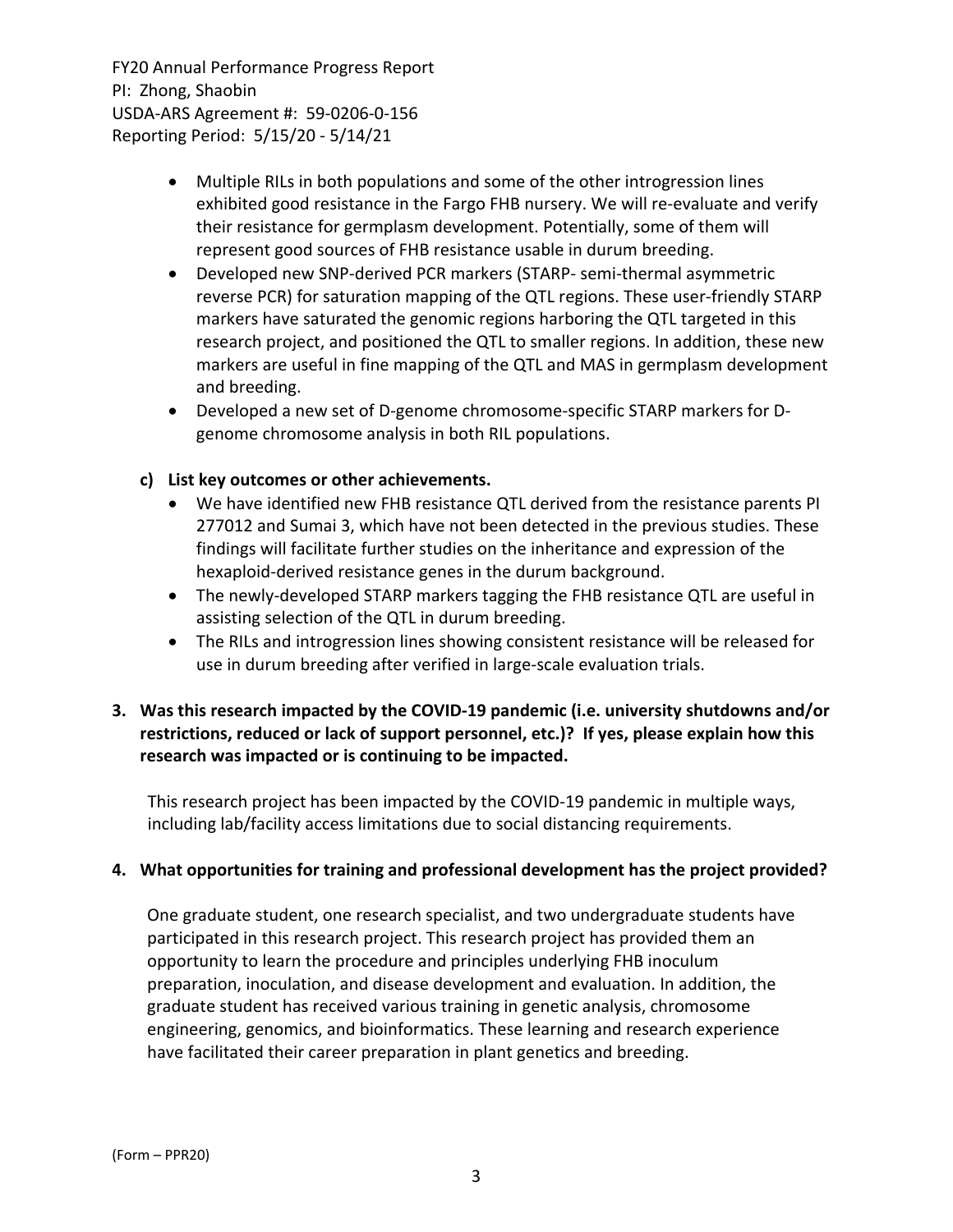- Multiple RILs in both populations and some of the other introgression lines exhibited good resistance in the Fargo FHB nursery. We will re-evaluate and verify their resistance for germplasm development. Potentially, some of them will represent good sources of FHB resistance usable in durum breeding.
- Developed new SNP‐derived PCR markers (STARP‐ semi‐thermal asymmetric reverse PCR) for saturation mapping of the QTL regions. These user‐friendly STARP markers have saturated the genomic regions harboring the QTL targeted in this research project, and positioned the QTL to smaller regions. In addition, these new markers are useful in fine mapping of the QTL and MAS in germplasm development and breeding.
- Developed a new set of D‐genome chromosome‐specific STARP markers for D‐ genome chromosome analysis in both RIL populations.

## **c) List key outcomes or other achievements.**

- We have identified new FHB resistance QTL derived from the resistance parents PI 277012 and Sumai 3, which have not been detected in the previous studies. These findings will facilitate further studies on the inheritance and expression of the hexaploid‐derived resistance genes in the durum background.
- The newly-developed STARP markers tagging the FHB resistance QTL are useful in assisting selection of the QTL in durum breeding.
- The RILs and introgression lines showing consistent resistance will be released for use in durum breeding after verified in large‐scale evaluation trials.

## **3. Was this research impacted by the COVID‐19 pandemic (i.e. university shutdowns and/or restrictions, reduced or lack of support personnel, etc.)? If yes, please explain how this research was impacted or is continuing to be impacted.**

This research project has been impacted by the COVID‐19 pandemic in multiple ways, including lab/facility access limitations due to social distancing requirements.

## **4. What opportunities for training and professional development has the project provided?**

One graduate student, one research specialist, and two undergraduate students have participated in this research project. This research project has provided them an opportunity to learn the procedure and principles underlying FHB inoculum preparation, inoculation, and disease development and evaluation. In addition, the graduate student has received various training in genetic analysis, chromosome engineering, genomics, and bioinformatics. These learning and research experience have facilitated their career preparation in plant genetics and breeding.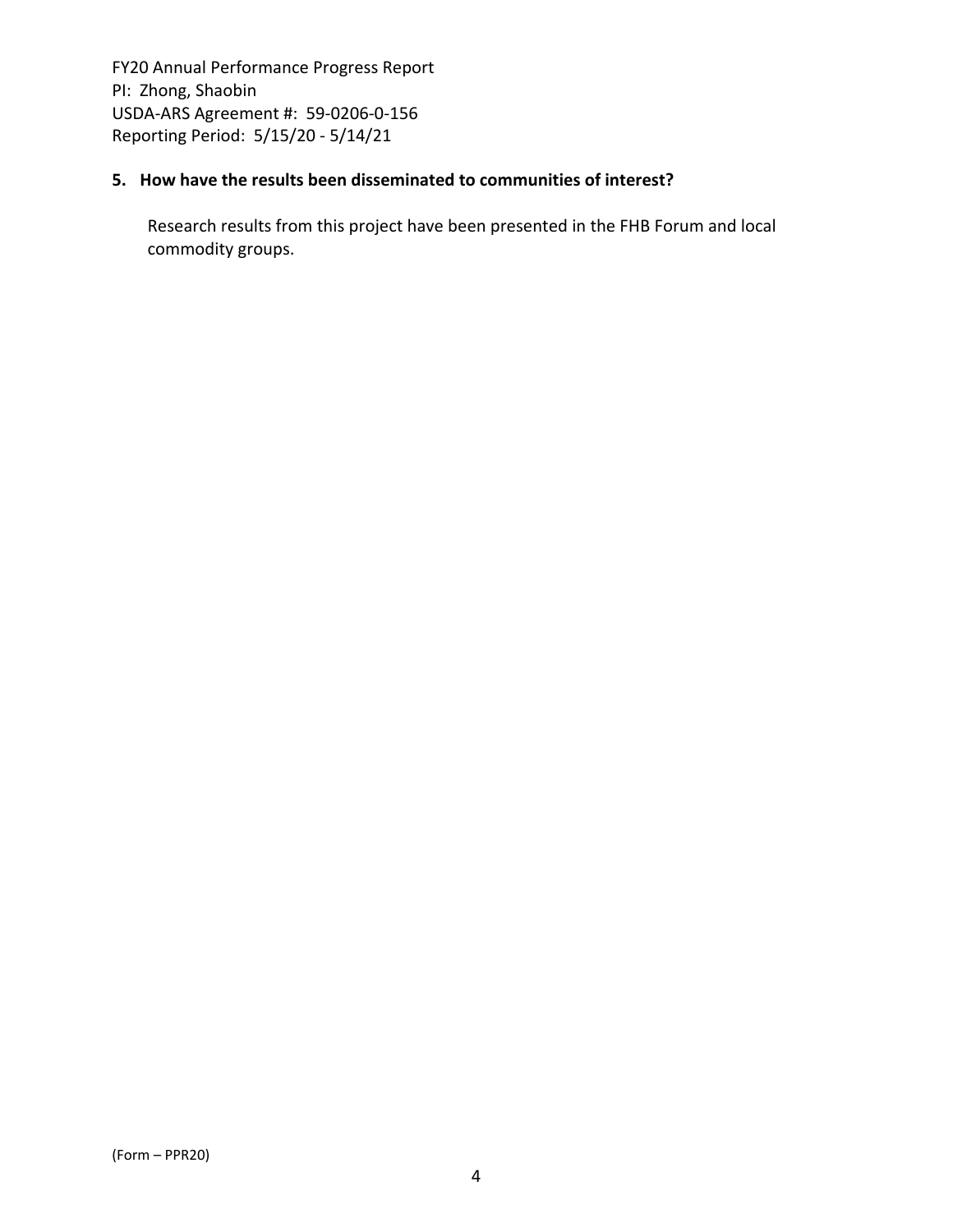## **5. How have the results been disseminated to communities of interest?**

Research results from this project have been presented in the FHB Forum and local commodity groups.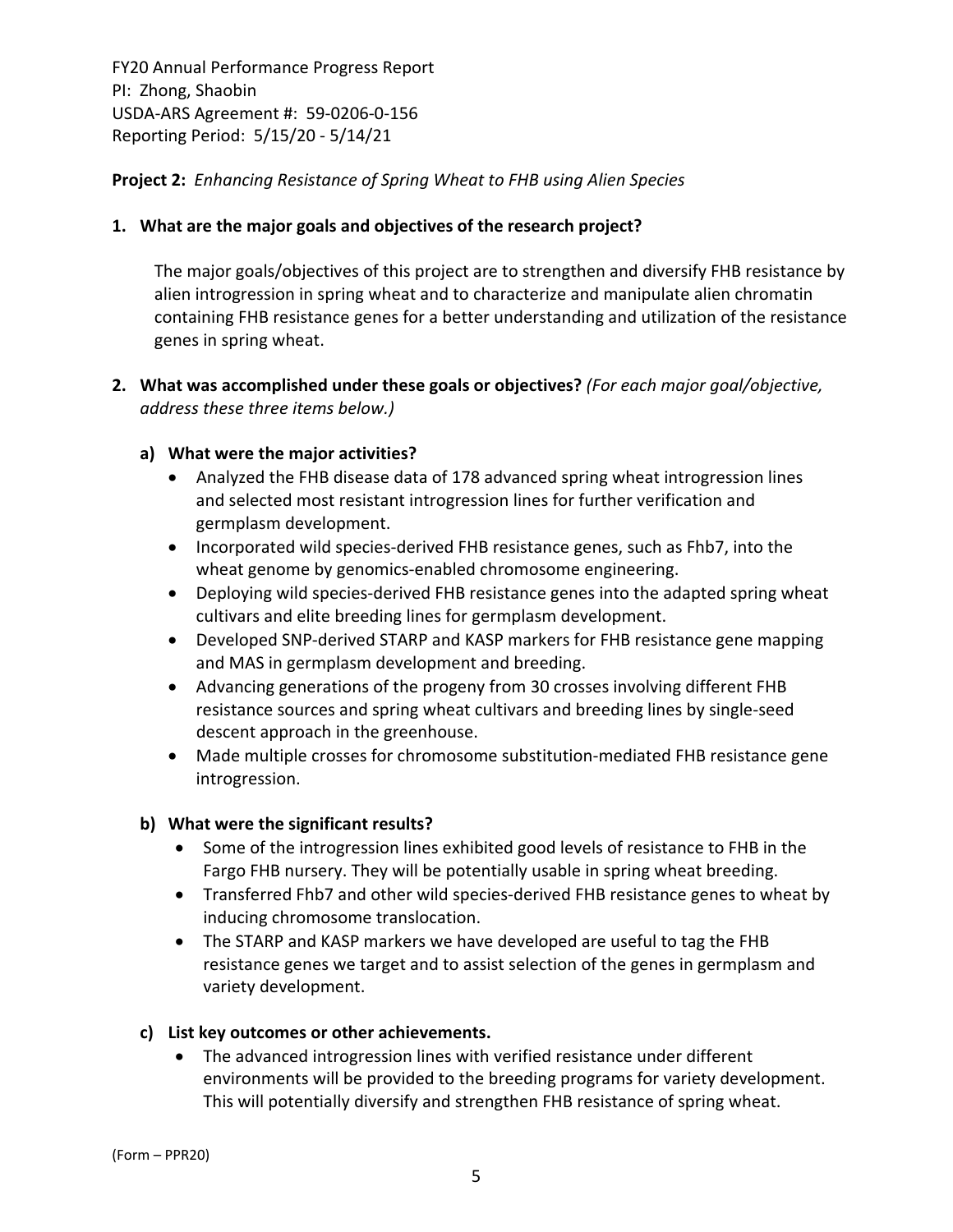## **Project 2:** *Enhancing Resistance of Spring Wheat to FHB using Alien Species*

## **1. What are the major goals and objectives of the research project?**

The major goals/objectives of this project are to strengthen and diversify FHB resistance by alien introgression in spring wheat and to characterize and manipulate alien chromatin containing FHB resistance genes for a better understanding and utilization of the resistance genes in spring wheat.

## **2. What was accomplished under these goals or objectives?** *(For each major goal/objective, address these three items below.)*

#### **a) What were the major activities?**

- Analyzed the FHB disease data of 178 advanced spring wheat introgression lines and selected most resistant introgression lines for further verification and germplasm development.
- Incorporated wild species-derived FHB resistance genes, such as Fhb7, into the wheat genome by genomics-enabled chromosome engineering.
- Deploying wild species-derived FHB resistance genes into the adapted spring wheat cultivars and elite breeding lines for germplasm development.
- Developed SNP-derived STARP and KASP markers for FHB resistance gene mapping and MAS in germplasm development and breeding.
- Advancing generations of the progeny from 30 crosses involving different FHB resistance sources and spring wheat cultivars and breeding lines by single‐seed descent approach in the greenhouse.
- Made multiple crosses for chromosome substitution-mediated FHB resistance gene introgression.

#### **b) What were the significant results?**

- Some of the introgression lines exhibited good levels of resistance to FHB in the Fargo FHB nursery. They will be potentially usable in spring wheat breeding.
- Transferred Fhb7 and other wild species‐derived FHB resistance genes to wheat by inducing chromosome translocation.
- The STARP and KASP markers we have developed are useful to tag the FHB resistance genes we target and to assist selection of the genes in germplasm and variety development.

#### **c) List key outcomes or other achievements.**

 The advanced introgression lines with verified resistance under different environments will be provided to the breeding programs for variety development. This will potentially diversify and strengthen FHB resistance of spring wheat.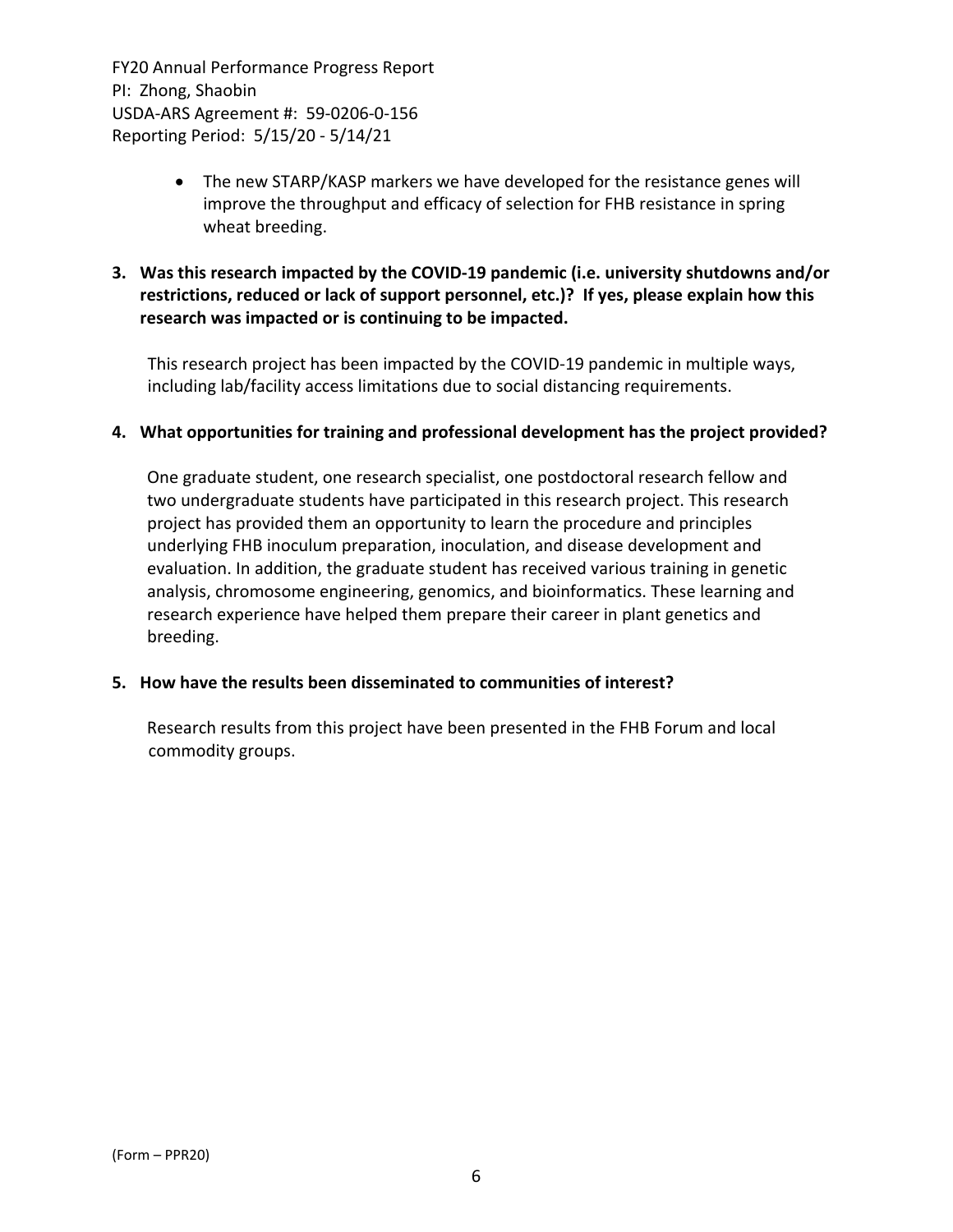- The new STARP/KASP markers we have developed for the resistance genes will improve the throughput and efficacy of selection for FHB resistance in spring wheat breeding.
- **3. Was this research impacted by the COVID‐19 pandemic (i.e. university shutdowns and/or restrictions, reduced or lack of support personnel, etc.)? If yes, please explain how this research was impacted or is continuing to be impacted.**

This research project has been impacted by the COVID‐19 pandemic in multiple ways, including lab/facility access limitations due to social distancing requirements.

#### **4. What opportunities for training and professional development has the project provided?**

One graduate student, one research specialist, one postdoctoral research fellow and two undergraduate students have participated in this research project. This research project has provided them an opportunity to learn the procedure and principles underlying FHB inoculum preparation, inoculation, and disease development and evaluation. In addition, the graduate student has received various training in genetic analysis, chromosome engineering, genomics, and bioinformatics. These learning and research experience have helped them prepare their career in plant genetics and breeding.

#### **5. How have the results been disseminated to communities of interest?**

Research results from this project have been presented in the FHB Forum and local commodity groups.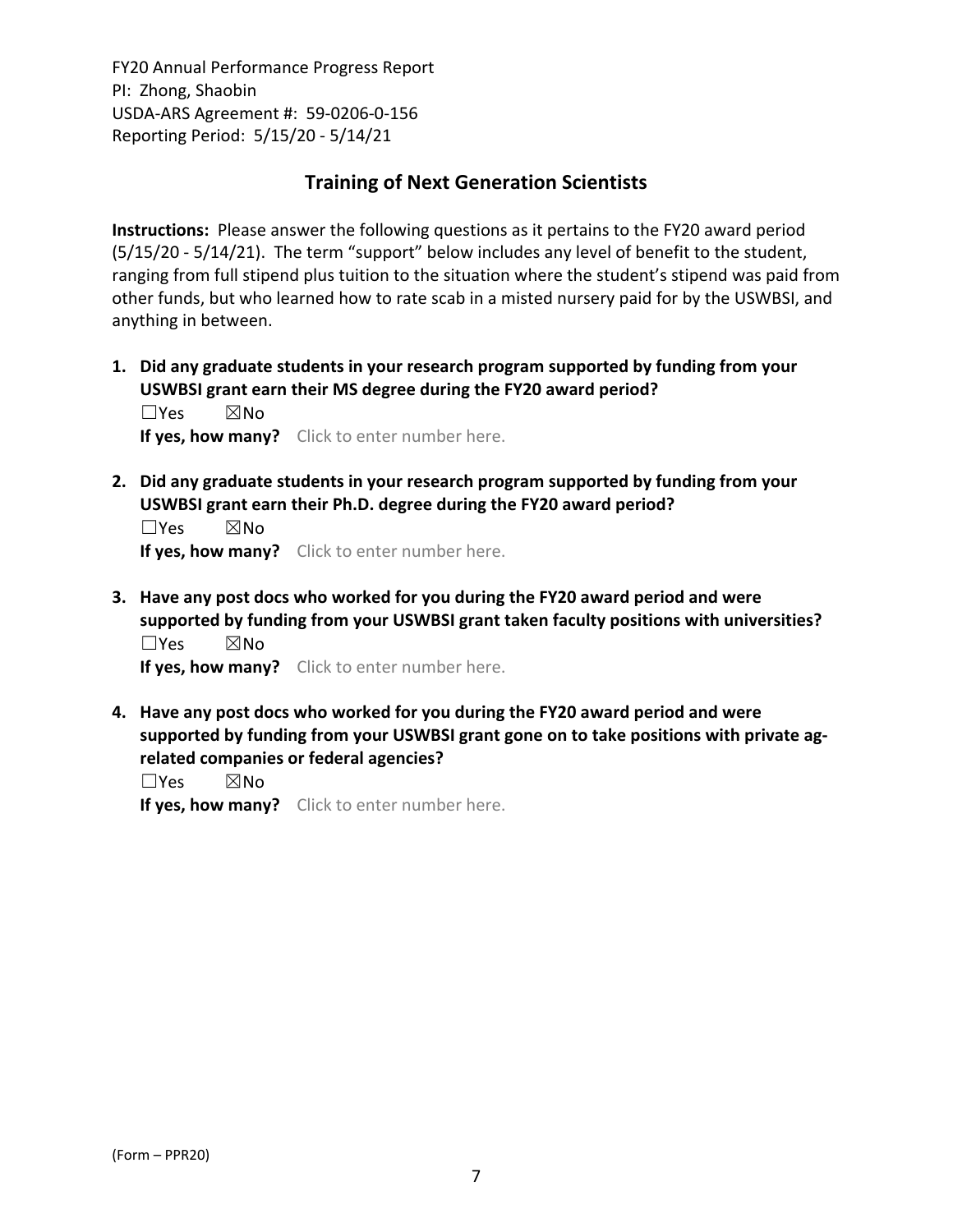## **Training of Next Generation Scientists**

**Instructions:** Please answer the following questions as it pertains to the FY20 award period (5/15/20 ‐ 5/14/21). The term "support" below includes any level of benefit to the student, ranging from full stipend plus tuition to the situation where the student's stipend was paid from other funds, but who learned how to rate scab in a misted nursery paid for by the USWBSI, and anything in between.

**1. Did any graduate students in your research program supported by funding from your USWBSI grant earn their MS degree during the FY20 award period?** ☐Yes ☒No

**If yes, how many?** Click to enter number here.

**2. Did any graduate students in your research program supported by funding from your USWBSI grant earn their Ph.D. degree during the FY20 award period?**

 $\square$ Yes  $\square$ No **If yes, how many?** Click to enter number here.

**3. Have any post docs who worked for you during the FY20 award period and were supported by funding from your USWBSI grant taken faculty positions with universities?** ☐Yes ☒No

**If yes, how many?** Click to enter number here.

**4. Have any post docs who worked for you during the FY20 award period and were supported by funding from your USWBSI grant gone on to take positions with private ag‐ related companies or federal agencies?**

☐Yes ☒No

**If yes, how many?** Click to enter number here.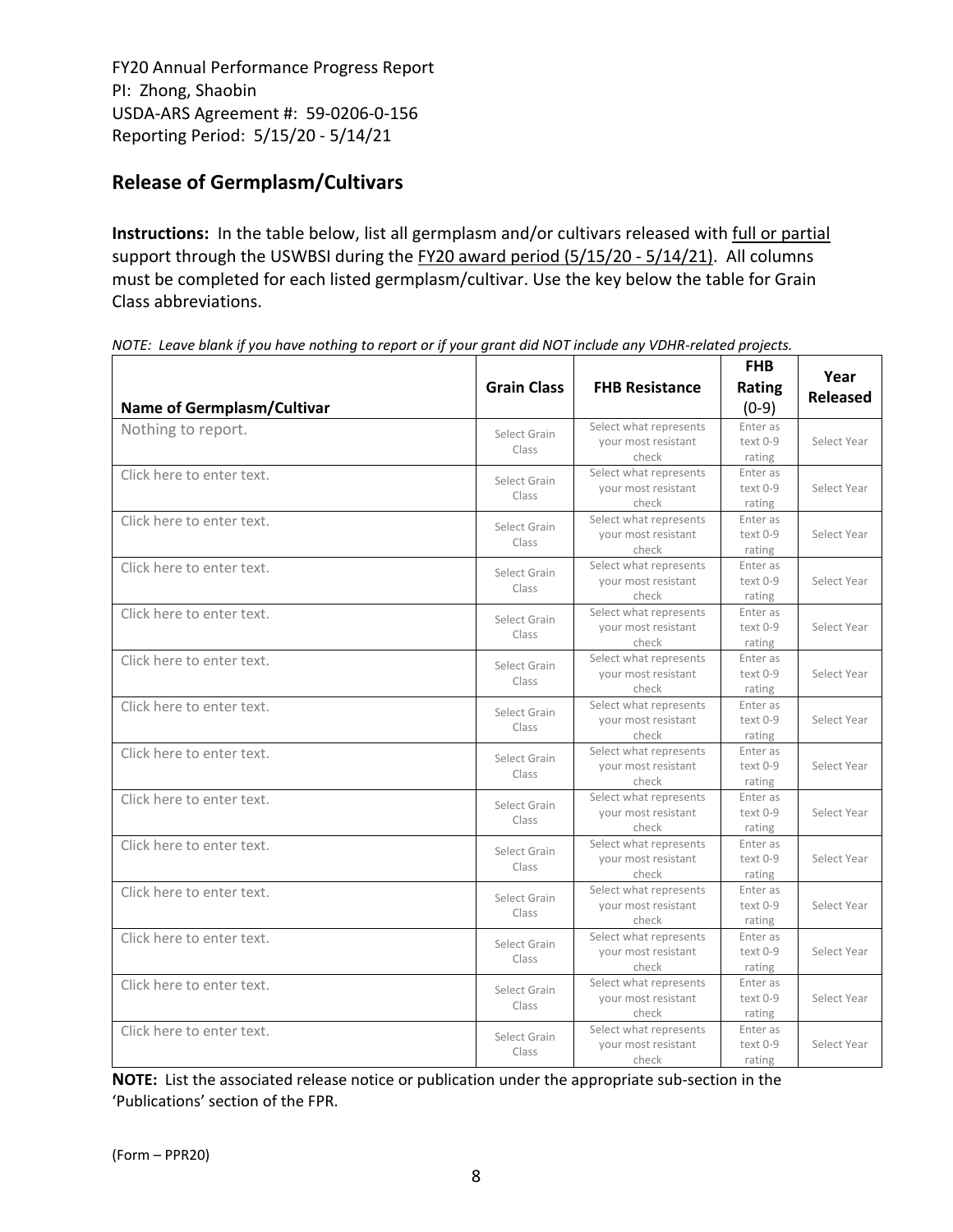# **Release of Germplasm/Cultivars**

**Instructions:** In the table below, list all germplasm and/or cultivars released with full or partial support through the USWBSI during the FY20 award period (5/15/20 - 5/14/21). All columns must be completed for each listed germplasm/cultivar. Use the key below the table for Grain Class abbreviations. 

| <b>Name of Germplasm/Cultivar</b> | <b>Grain Class</b>    | <b>FHB Resistance</b>                                  | <b>FHB</b><br>Rating<br>$(0-9)$ | Year<br><b>Released</b> |
|-----------------------------------|-----------------------|--------------------------------------------------------|---------------------------------|-------------------------|
| Nothing to report.                | Select Grain<br>Class | Select what represents<br>your most resistant<br>check | Enter as<br>text 0-9<br>rating  | Select Year             |
| Click here to enter text.         | Select Grain<br>Class | Select what represents<br>your most resistant<br>check | Enter as<br>text 0-9<br>rating  | Select Year             |
| Click here to enter text.         | Select Grain<br>Class | Select what represents<br>your most resistant<br>check | Enter as<br>text 0-9<br>rating  | Select Year             |
| Click here to enter text.         | Select Grain<br>Class | Select what represents<br>your most resistant<br>check | Enter as<br>text 0-9<br>rating  | Select Year             |
| Click here to enter text.         | Select Grain<br>Class | Select what represents<br>your most resistant<br>check | Enter as<br>text 0-9<br>rating  | Select Year             |
| Click here to enter text.         | Select Grain<br>Class | Select what represents<br>your most resistant<br>check | Enter as<br>text 0-9<br>rating  | Select Year             |
| Click here to enter text.         | Select Grain<br>Class | Select what represents<br>your most resistant<br>check | Enter as<br>text 0-9<br>rating  | Select Year             |
| Click here to enter text.         | Select Grain<br>Class | Select what represents<br>your most resistant<br>check | Enter as<br>text 0-9<br>rating  | Select Year             |
| Click here to enter text.         | Select Grain<br>Class | Select what represents<br>your most resistant<br>check | Enter as<br>text 0-9<br>rating  | Select Year             |
| Click here to enter text.         | Select Grain<br>Class | Select what represents<br>your most resistant<br>check | Enter as<br>text 0-9<br>rating  | Select Year             |
| Click here to enter text.         | Select Grain<br>Class | Select what represents<br>your most resistant<br>check | Enter as<br>text 0-9<br>rating  | Select Year             |
| Click here to enter text.         | Select Grain<br>Class | Select what represents<br>your most resistant<br>check | Enter as<br>text 0-9<br>rating  | Select Year             |
| Click here to enter text.         | Select Grain<br>Class | Select what represents<br>your most resistant<br>check | Enter as<br>text 0-9<br>rating  | Select Year             |
| Click here to enter text.         | Select Grain<br>Class | Select what represents<br>your most resistant<br>check | Enter as<br>text 0-9<br>rating  | Select Year             |

NOTE: Leave blank if you have nothing to report or if your grant did NOT include any VDHR-related projects.

**NOTE:** List the associated release notice or publication under the appropriate sub-section in the 'Publications' section of the FPR.